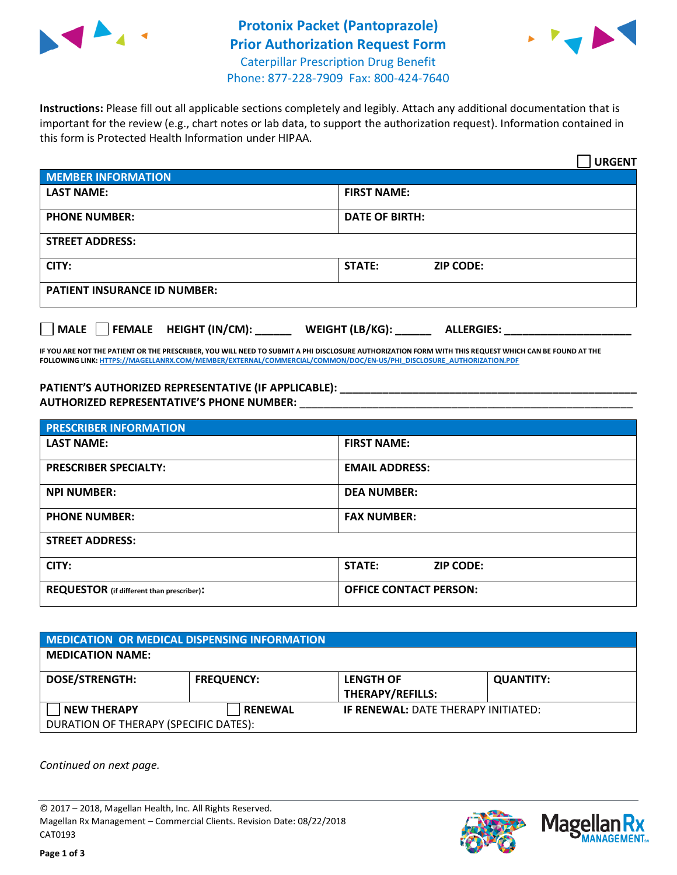



**Instructions:** Please fill out all applicable sections completely and legibly. Attach any additional documentation that is important for the review (e.g., chart notes or lab data, to support the authorization request). Information contained in this form is Protected Health Information under HIPAA.

|                                       | <b>URGENT</b>                        |  |  |  |
|---------------------------------------|--------------------------------------|--|--|--|
| <b>MEMBER INFORMATION</b>             |                                      |  |  |  |
| <b>LAST NAME:</b>                     | <b>FIRST NAME:</b>                   |  |  |  |
| <b>PHONE NUMBER:</b>                  | <b>DATE OF BIRTH:</b>                |  |  |  |
| <b>STREET ADDRESS:</b>                |                                      |  |  |  |
| CITY:                                 | <b>STATE:</b><br><b>ZIP CODE:</b>    |  |  |  |
| <b>PATIENT INSURANCE ID NUMBER:</b>   |                                      |  |  |  |
| FEMALE HEIGHT (IN/CM):<br><b>MALE</b> | WEIGHT (LB/KG):<br><b>ALLERGIES:</b> |  |  |  |

**IF YOU ARE NOT THE PATIENT OR THE PRESCRIBER, YOU WILL NEED TO SUBMIT A PHI DISCLOSURE AUTHORIZATION FORM WITH THIS REQUEST WHICH CAN BE FOUND AT THE FOLLOWING LINK[: HTTPS://MAGELLANRX.COM/MEMBER/EXTERNAL/COMMERCIAL/COMMON/DOC/EN-US/PHI\\_DISCLOSURE\\_AUTHORIZATION.PDF](https://magellanrx.com/member/external/commercial/common/doc/en-us/PHI_Disclosure_Authorization.pdf)**

**PATIENT'S AUTHORIZED REPRESENTATIVE (IF APPLICABLE): \_\_\_\_\_\_\_\_\_\_\_\_\_\_\_\_\_\_\_\_\_\_\_\_\_\_\_\_\_\_\_\_\_\_\_\_\_\_\_\_\_\_\_\_\_\_\_\_\_ AUTHORIZED REPRESENTATIVE'S PHONE NUMBER:** \_\_\_\_\_\_\_\_\_\_\_\_\_\_\_\_\_\_\_\_\_\_\_\_\_\_\_\_\_\_\_\_\_\_\_\_\_\_\_\_\_\_\_\_\_\_\_\_\_\_\_\_\_\_\_

| <b>PRESCRIBER INFORMATION</b>             |                               |  |  |  |
|-------------------------------------------|-------------------------------|--|--|--|
| <b>LAST NAME:</b>                         | <b>FIRST NAME:</b>            |  |  |  |
| <b>PRESCRIBER SPECIALTY:</b>              | <b>EMAIL ADDRESS:</b>         |  |  |  |
| <b>NPI NUMBER:</b>                        | <b>DEA NUMBER:</b>            |  |  |  |
| <b>PHONE NUMBER:</b>                      | <b>FAX NUMBER:</b>            |  |  |  |
| <b>STREET ADDRESS:</b>                    |                               |  |  |  |
| CITY:                                     | STATE:<br><b>ZIP CODE:</b>    |  |  |  |
| REQUESTOR (if different than prescriber): | <b>OFFICE CONTACT PERSON:</b> |  |  |  |

| <b>MEDICATION OR MEDICAL DISPENSING INFORMATION</b> |                   |                                            |                  |  |  |
|-----------------------------------------------------|-------------------|--------------------------------------------|------------------|--|--|
| <b>MEDICATION NAME:</b>                             |                   |                                            |                  |  |  |
| <b>DOSE/STRENGTH:</b>                               | <b>FREQUENCY:</b> | <b>LENGTH OF</b>                           | <b>QUANTITY:</b> |  |  |
|                                                     |                   | <b>THERAPY/REFILLS:</b>                    |                  |  |  |
| <b>NEW THERAPY</b>                                  | <b>RENEWAL</b>    | <b>IF RENEWAL: DATE THERAPY INITIATED:</b> |                  |  |  |
| DURATION OF THERAPY (SPECIFIC DATES):               |                   |                                            |                  |  |  |

*Continued on next page.*

© 2017 – 2018, Magellan Health, Inc. All Rights Reserved. Magellan Rx Management – Commercial Clients. Revision Date: 08/22/2018 CAT0193



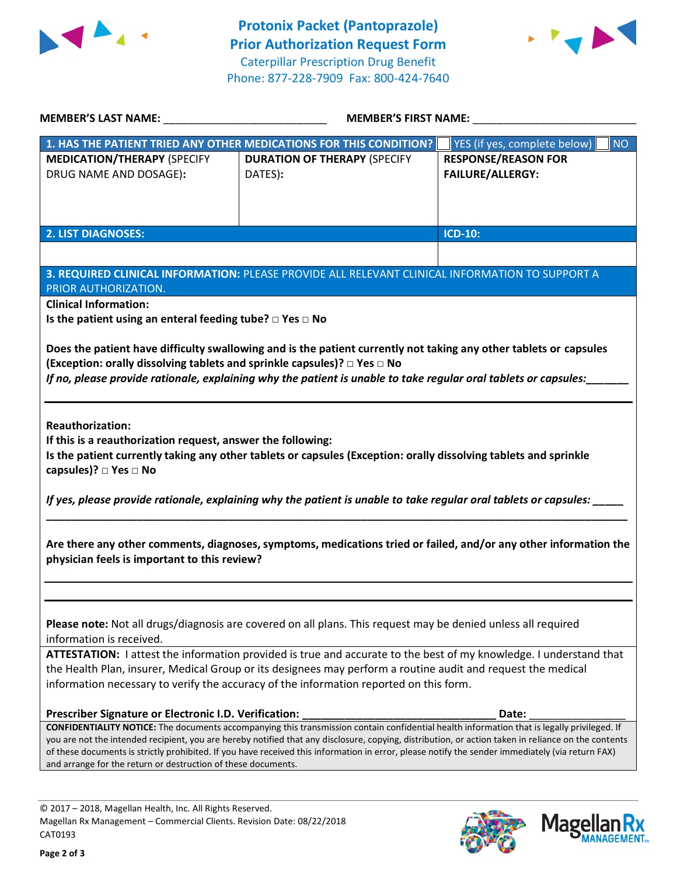



| <b>MEMBER'S LAST NAME:</b>                                                                                                                                                                                                                                                                         | <b>MEMBER'S FIRST NAME:</b>                                                                                                                      |                                    |  |  |  |
|----------------------------------------------------------------------------------------------------------------------------------------------------------------------------------------------------------------------------------------------------------------------------------------------------|--------------------------------------------------------------------------------------------------------------------------------------------------|------------------------------------|--|--|--|
|                                                                                                                                                                                                                                                                                                    | 1. HAS THE PATIENT TRIED ANY OTHER MEDICATIONS FOR THIS CONDITION?                                                                               | YES (if yes, complete below)<br>NO |  |  |  |
| <b>MEDICATION/THERAPY (SPECIFY</b>                                                                                                                                                                                                                                                                 | <b>DURATION OF THERAPY (SPECIFY</b>                                                                                                              | <b>RESPONSE/REASON FOR</b>         |  |  |  |
| DRUG NAME AND DOSAGE):                                                                                                                                                                                                                                                                             | DATES):                                                                                                                                          | <b>FAILURE/ALLERGY:</b>            |  |  |  |
|                                                                                                                                                                                                                                                                                                    |                                                                                                                                                  |                                    |  |  |  |
|                                                                                                                                                                                                                                                                                                    |                                                                                                                                                  |                                    |  |  |  |
| <b>2. LIST DIAGNOSES:</b>                                                                                                                                                                                                                                                                          |                                                                                                                                                  | <b>ICD-10:</b>                     |  |  |  |
|                                                                                                                                                                                                                                                                                                    |                                                                                                                                                  |                                    |  |  |  |
|                                                                                                                                                                                                                                                                                                    | 3. REQUIRED CLINICAL INFORMATION: PLEASE PROVIDE ALL RELEVANT CLINICAL INFORMATION TO SUPPORT A                                                  |                                    |  |  |  |
| PRIOR AUTHORIZATION.                                                                                                                                                                                                                                                                               |                                                                                                                                                  |                                    |  |  |  |
| <b>Clinical Information:</b>                                                                                                                                                                                                                                                                       |                                                                                                                                                  |                                    |  |  |  |
| Is the patient using an enteral feeding tube? $\square$ Yes $\square$ No                                                                                                                                                                                                                           |                                                                                                                                                  |                                    |  |  |  |
|                                                                                                                                                                                                                                                                                                    |                                                                                                                                                  |                                    |  |  |  |
|                                                                                                                                                                                                                                                                                                    | Does the patient have difficulty swallowing and is the patient currently not taking any other tablets or capsules                                |                                    |  |  |  |
| (Exception: orally dissolving tablets and sprinkle capsules)? □ Yes □ No                                                                                                                                                                                                                           | If no, please provide rationale, explaining why the patient is unable to take regular oral tablets or capsules:                                  |                                    |  |  |  |
|                                                                                                                                                                                                                                                                                                    |                                                                                                                                                  |                                    |  |  |  |
|                                                                                                                                                                                                                                                                                                    |                                                                                                                                                  |                                    |  |  |  |
| <b>Reauthorization:</b>                                                                                                                                                                                                                                                                            |                                                                                                                                                  |                                    |  |  |  |
| If this is a reauthorization request, answer the following:                                                                                                                                                                                                                                        |                                                                                                                                                  |                                    |  |  |  |
|                                                                                                                                                                                                                                                                                                    | Is the patient currently taking any other tablets or capsules (Exception: orally dissolving tablets and sprinkle                                 |                                    |  |  |  |
| capsules)? □ Yes □ No                                                                                                                                                                                                                                                                              |                                                                                                                                                  |                                    |  |  |  |
|                                                                                                                                                                                                                                                                                                    | If yes, please provide rationale, explaining why the patient is unable to take regular oral tablets or capsules:                                 |                                    |  |  |  |
|                                                                                                                                                                                                                                                                                                    |                                                                                                                                                  |                                    |  |  |  |
|                                                                                                                                                                                                                                                                                                    |                                                                                                                                                  |                                    |  |  |  |
|                                                                                                                                                                                                                                                                                                    | Are there any other comments, diagnoses, symptoms, medications tried or failed, and/or any other information the                                 |                                    |  |  |  |
| physician feels is important to this review?                                                                                                                                                                                                                                                       |                                                                                                                                                  |                                    |  |  |  |
|                                                                                                                                                                                                                                                                                                    |                                                                                                                                                  |                                    |  |  |  |
|                                                                                                                                                                                                                                                                                                    |                                                                                                                                                  |                                    |  |  |  |
|                                                                                                                                                                                                                                                                                                    |                                                                                                                                                  |                                    |  |  |  |
| Please note: Not all drugs/diagnosis are covered on all plans. This request may be denied unless all required<br>information is received.                                                                                                                                                          |                                                                                                                                                  |                                    |  |  |  |
| ATTESTATION: I attest the information provided is true and accurate to the best of my knowledge. I understand that                                                                                                                                                                                 |                                                                                                                                                  |                                    |  |  |  |
| the Health Plan, insurer, Medical Group or its designees may perform a routine audit and request the medical                                                                                                                                                                                       |                                                                                                                                                  |                                    |  |  |  |
| information necessary to verify the accuracy of the information reported on this form.                                                                                                                                                                                                             |                                                                                                                                                  |                                    |  |  |  |
|                                                                                                                                                                                                                                                                                                    |                                                                                                                                                  |                                    |  |  |  |
| Prescriber Signature or Electronic I.D. Verification:                                                                                                                                                                                                                                              |                                                                                                                                                  | Date:                              |  |  |  |
| CONFIDENTIALITY NOTICE: The documents accompanying this transmission contain confidential health information that is legally privileged. If<br>you are not the intended recipient, you are hereby notified that any disclosure, copying, distribution, or action taken in reliance on the contents |                                                                                                                                                  |                                    |  |  |  |
|                                                                                                                                                                                                                                                                                                    | of these documents is strictly prohibited. If you have received this information in error, please notify the sender immediately (via return FAX) |                                    |  |  |  |
| and arrange for the return or destruction of these documents.                                                                                                                                                                                                                                      |                                                                                                                                                  |                                    |  |  |  |
|                                                                                                                                                                                                                                                                                                    |                                                                                                                                                  |                                    |  |  |  |



**Magella** 

**MANAGEMENT**<sub>SM</sub>